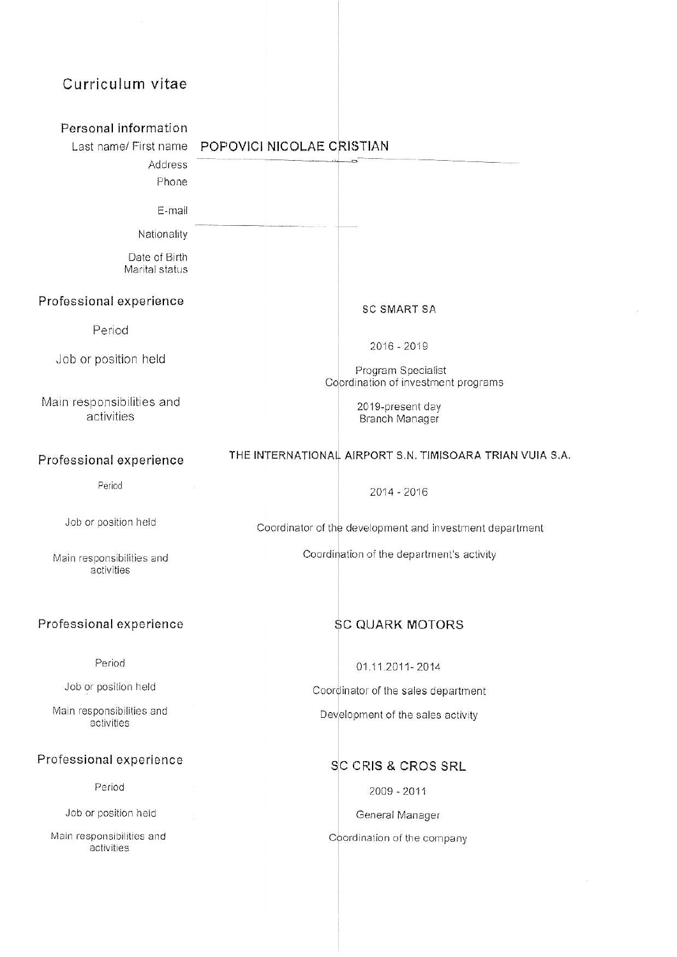# Curriculum vitae

| Personal information                    |                                                           |
|-----------------------------------------|-----------------------------------------------------------|
| Last name/ First name                   | POPOVICI NICOLAE CRISTIAN                                 |
| Address                                 |                                                           |
| Phone                                   |                                                           |
| E-mail                                  |                                                           |
| Nationality                             |                                                           |
| Date of Birth<br>Marital status         |                                                           |
| Professional experience                 | <b>SC SMART SA</b>                                        |
| Period                                  |                                                           |
| Job or position held                    | $2016 - 2019$                                             |
|                                         | Program Specialist<br>Coordination of investment programs |
| Main responsibilities and               | 2019-present day                                          |
| activities                              | Branch Manager                                            |
|                                         |                                                           |
| Professional experience                 | THE INTERNATIONAL AIRPORT S.N. TIMISOARA TRIAN VUIA S.A.  |
| Period                                  | 2014 - 2016                                               |
| Job or position held                    | Coordinator of the development and investment department  |
| Main responsibilities and<br>activities | Coordination of the department's activity                 |
| Professional experience                 | <b>SC QUARK MOTORS</b>                                    |
|                                         |                                                           |
| Period                                  | 01.11.2011-2014                                           |
| Job or position held                    | Coordinator of the sales department                       |
| Main responsibilities and<br>activities | Development of the sales activity                         |
| Professional experience                 | SC CRIS & CROS SRL                                        |
| Period                                  | $2009 - 2011$                                             |
| Job or position held                    | General Manager                                           |
| Main responsibilities and<br>activities | Coordination of the company                               |
|                                         |                                                           |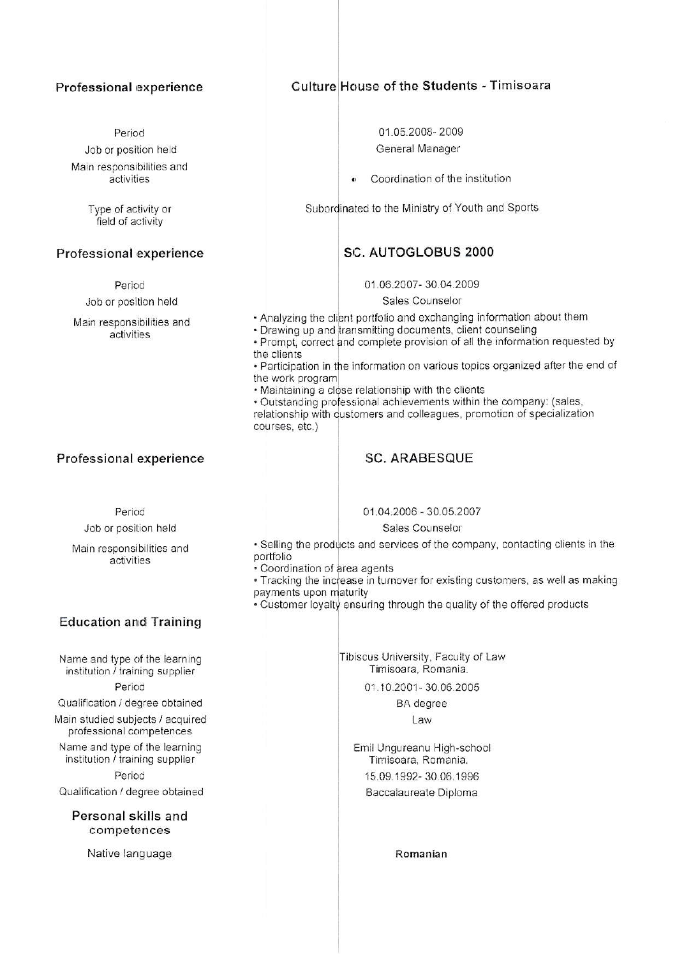#### Professional experience

Period Job or position held Main responsibilities and activities

> Type of activity or field of activity

#### Professional experience

Period

Job or position held

Main responsibilities and activities

## Culture House of the Students - Timisoara

01.05.2008-2009 General Manager

Coordination of the institution

Subordinated to the Ministry of Youth and Sports

## **SC. AUTOGLOBUS 2000**

01.06.2007-30.04.2009

Sales Counselor

- Analyzing the client portfolio and exchanging information about them
- · Drawing up and transmitting documents, client counseling
- Prompt, correct and complete provision of all the information requested by the clients
- Participation in the information on various topics organized after the end of the work program
- . Maintaining a close relationship with the clients

· Outstanding professional achievements within the company: (sales, relationship with customers and colleagues, promotion of specialization courses, etc.)

# Professional experience

#### Period

Job or position held

Main responsibilities and activities

# **Education and Training**

Name and type of the learning institution / training supplier Period

Qualification / degree obtained

Main studied subjects / acquired professional competences

Name and type of the learning institution / training supplier Period

Qualification / degree obtained

Personal skills and competences

Native language

**SC. ARABESQUE** 

01.04.2006 - 30.05.2007

#### Sales Counselor

. Selling the products and services of the company, contacting clients in the portfolio

- · Coordination of area agents
- . Tracking the increase in turnover for existing customers, as well as making payments upon maturity
- . Customer loyalty ensuring through the quality of the offered products

Tibiscus University, Faculty of Law Timisoara, Romania.

01.10.2001-30.06.2005

**BA** degree

Law

Emil Ungureanu High-school Timisoara, Romania. 15.09.1992-30.06.1996 Baccalaureate Diploma

Romanian